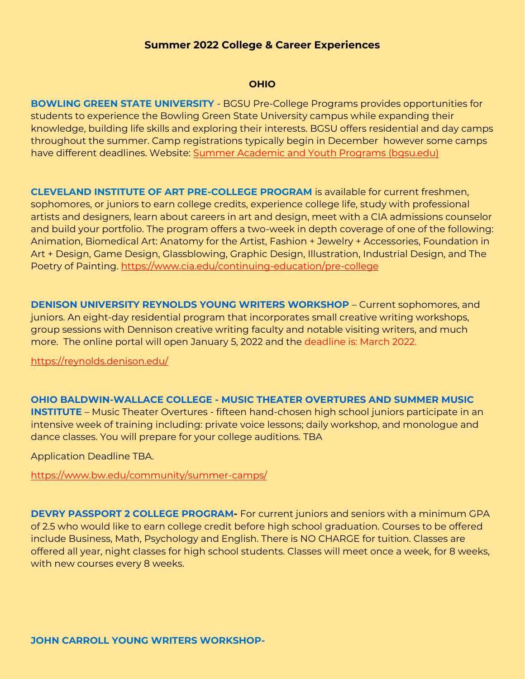#### **OHIO**

**BOWLING GREEN STATE UNIVERSITY** - BGSU Pre-College Programs provides opportunities for students to experience the Bowling Green State University campus while expanding their knowledge, building life skills and exploring their interests. BGSU offers residential and day camps throughout the summer. Camp registrations typically begin in December however some camps have different deadlines. Website: [Summer Academic and Youth Programs \(bgsu.edu\)](https://www.bgsu.edu/pre-college-programs/summer-academic-and-youth-programs.html)

**[CLEVELAND INSTITUTE OF ART PRE-COLLEGE PROGRAM](http://www.cia.edu/continuing-education)** is available for current freshmen, sophomores, or juniors to earn college credits, experience college life, study with professional artists and designers, learn about careers in art and design, meet with a CIA admissions counselor and build your portfolio. The program offers a two-week in depth coverage of one of the following: Animation, Biomedical Art: Anatomy for the Artist, Fashion + Jewelry + Accessories, Foundation in Art + Design, Game Design, Glassblowing, Graphic Design, Illustration, Industrial Design, and The Poetry of Painting.<https://www.cia.edu/continuing-education/pre-college>

**[DENISON UNIVERSITY REYNOLDS YOUNG WRITERS WORKSHOP](https://reynolds.denison.edu/)** – Current sophomores, and juniors. An eight-day residential program that incorporates small creative writing workshops, group sessions with Dennison creative writing faculty and notable visiting writers, and much more. The online portal will open January 5, 2022 and the deadline is: March 2022.

<https://reynolds.denison.edu/>

**OHIO BALDWIN-WALLACE COLLEGE - [MUSIC THEATER OVERTURES AND SUMMER MUSIC](https://www.bw.edu/)  [INSTITUTE](https://www.bw.edu/)** – Music Theater Overtures - fifteen hand-chosen high school juniors participate in an intensive week of training including: private voice lessons; daily workshop, and monologue and dance classes. You will prepare for your college auditions. TBA

Application Deadline TBA.

<https://www.bw.edu/community/summer-camps/>

**[DEVRY PASSPORT 2 COLLEGE PROGRAM-](http://www.devry.edu/high-school-students/college-credits.html)** For current juniors and seniors with a minimum GPA of 2.5 who would like to earn college credit before high school graduation. Courses to be offered include Business, Math, Psychology and English. There is NO CHARGE for tuition. Classes are offered all year, night classes for high school students. Classes will meet once a week, for 8 weeks, with new courses every 8 weeks.

**JOHN CARROLL YOUNG WRITERS WORKSHOP-**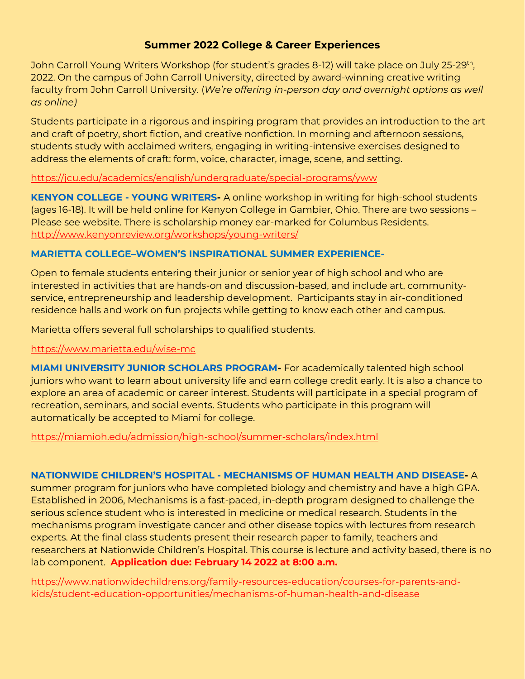John Carroll Young Writers Workshop (for student's grades 8-12) will take place on July 25-29<sup>th</sup>, 2022. On the campus of John Carroll University, directed by award-winning creative writing faculty from John Carroll University. (*We're offering in-person day and overnight options as well as online)*

Students participate in a rigorous and inspiring program that provides an introduction to the art and craft of poetry, short fiction, and creative nonfiction. In morning and afternoon sessions, students study with acclaimed writers, engaging in writing-intensive exercises designed to address the elements of craft: form, voice, character, image, scene, and setting.

# <https://jcu.edu/academics/english/undergraduate/special-programs/yww>

**[KENYON COLLEGE -](http://www.kenyonreview.org/workshops/young-writers/) YOUNG WRITERS-** A online workshop in writing for high-school students (ages 16-18). It will be held online for Kenyon College in Gambier, Ohio. There are two sessions – Please see website. There is scholarship money ear-marked for Columbus Residents. <http://www.kenyonreview.org/workshops/young-writers/>

# **MARIETTA COLLEGE–WOMEN'S INSPIRATIONAL SUMMER EXPERIENCE-**

Open to female students entering their junior or senior year of high school and who are interested in activities that are hands-on and discussion-based, and include art, communityservice, entrepreneurship and leadership development. Participants stay in air-conditioned residence halls and work on fun projects while getting to know each other and campus.

Marietta offers several full scholarships to qualified students.

# https://www.marietta.edu/wise-mc

**[MIAMI UNIVERSITY JUNIOR SCHOLARS PROGRAM-](http://miamioh.edu/admission/high-school/summer-scholars/)** For academically talented high school juniors who want to learn about university life and earn college credit early. It is also a chance to explore an area of academic or career interest. Students will participate in a special program of recreation, seminars, and social events. Students who participate in this program will automatically be accepted to Miami for college.

<https://miamioh.edu/admission/high-school/summer-scholars/index.html>

# **NATIONWIDE CHILDREN'S HOSPITAL - [MECHANISMS OF HUMAN HEALTH AND DISEASE-](http://www.nationwidechildrens.org/mechanisms-of-human-health-and-disease)** A

summer program for juniors who have completed biology and chemistry and have a high GPA. Established in 2006, Mechanisms is a fast-paced, in-depth program designed to challenge the serious science student who is interested in medicine or medical research. Students in the mechanisms program investigate cancer and other disease topics with lectures from research experts. At the final class students present their research paper to family, teachers and researchers at Nationwide Children's Hospital. This course is lecture and activity based, there is no lab component. **Application due: February 14 2022 at 8:00 a.m.**

https://www.nationwidechildrens.org/family-resources-education/courses-for-parents-andkids/student-education-opportunities/mechanisms-of-human-health-and-disease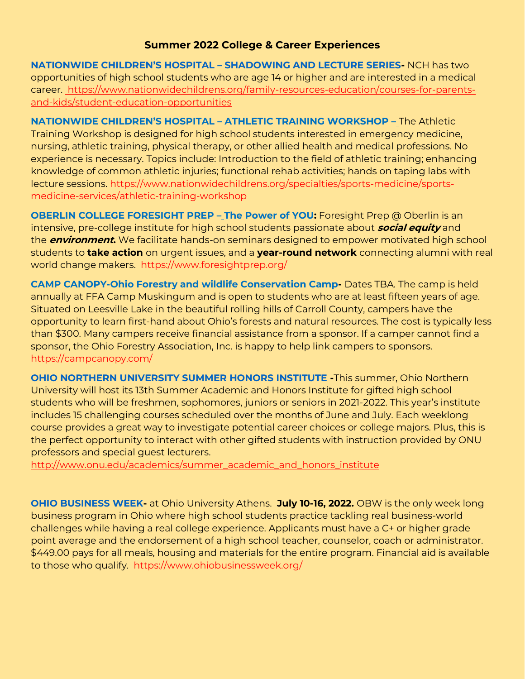**[NATIONWIDE CHILDREN'S HOSPITAL –](http://www.nationwidechildrens.org/student-shadowing-application) SHADOWING AND LECTURE SERIES-** NCH has two opportunities of high school students who are age 14 or higher and are interested in a medical career. https://www.nationwidechildrens.org/family-resources-education/courses-for-parentsand-kids/student-education-opportunities

**NATIONWIDE CHILDREN'S HOSPITAL – ATHLETIC TRAINING WORKSHOP –** The Athletic Training Workshop is designed for high school students interested in emergency medicine, nursing, athletic training, physical therapy, or other allied health and medical professions. No experience is necessary. Topics include: Introduction to the field of athletic training; enhancing knowledge of common athletic injuries; functional rehab activities; hands on taping labs with lecture sessions. https://www.nationwidechildrens.org/specialties/sports-medicine/sportsmedicine-services/athletic-training-workshop

**OBERLIN COLLEGE FORESIGHT PREP – The Power of YOU:** Foresight Prep @ Oberlin is an intensive, pre-college institute for high school students passionate about **social equity** and the **environment.** We facilitate hands-on seminars designed to empower motivated high school students to **take action** on urgent issues, and a **year-round network** connecting alumni with real world change makers. https://www.foresightprep.org/

**CAMP CANOPY-Ohio Forestry and wildlife Conservation Camp-** Dates TBA. The camp is held annually at FFA Camp Muskingum and is open to students who are at least fifteen years of age. Situated on Leesville Lake in the beautiful rolling hills of Carroll County, campers have the opportunity to learn first-hand about Ohio's forests and natural resources. The cost is typically less than \$300. Many campers receive financial assistance from a sponsor. If a camper cannot find a sponsor, the Ohio Forestry Association, Inc. is happy to help link campers to sponsors. https://campcanopy.com/

**[OHIO NORTHERN UNIVERSITY SUMMER HONORS INSTITUTE](http://www.onu.edu/academics/summer_academic_and_honors_institute) -**This summer, Ohio Northern University will host its 13th Summer Academic and Honors Institute for gifted high school students who will be freshmen, sophomores, juniors or seniors in 2021-2022. This year's institute includes 15 challenging courses scheduled over the months of June and July. Each weeklong course provides a great way to investigate potential career choices or college majors. Plus, this is the perfect opportunity to interact with other gifted students with instruction provided by ONU professors and special guest lecturers.

[http://www.onu.edu/academics/summer\\_academic\\_and\\_honors\\_institute](http://www.onu.edu/academics/summer_academic_and_honors_institute)

**[OHIO BUSINESS WEEK-](http://www.ohiobusinessweek.org/)** at Ohio University Athens. **July 10-16, 2022.** OBW is the only week long business program in Ohio where high school students practice tackling real business-world challenges while having a real college experience. Applicants must have a C+ or higher grade point average and the endorsement of a high school teacher, counselor, coach or administrator. \$449.00 pays for all meals, housing and materials for the entire program. Financial aid is available to those who qualify. https://www.ohiobusinessweek.org/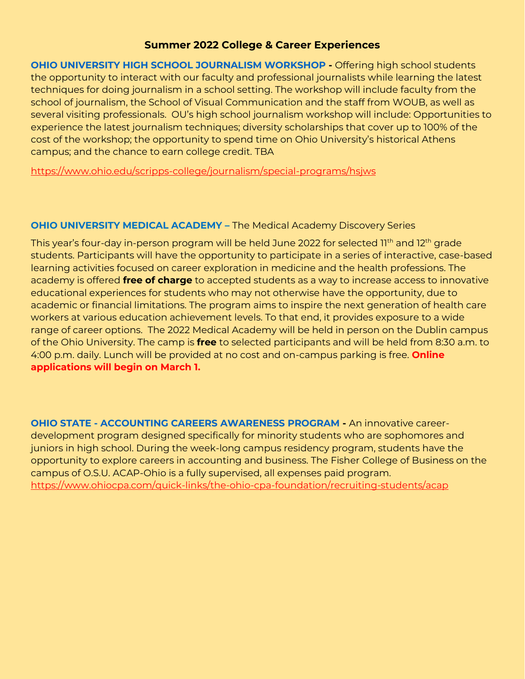**[OHIO UNIVERSITY HIGH SCHOOL JOURNALISM WORKSHOP](http://scrippsjschool.org/hsjw/) -** Offering high school students the opportunity to interact with our faculty and professional journalists while learning the latest techniques for doing journalism in a school setting. The workshop will include faculty from the school of journalism, the School of Visual Communication and the staff from WOUB, as well as several visiting professionals. OU's high school journalism workshop will include: Opportunities to experience the latest journalism techniques; diversity scholarships that cover up to 100% of the cost of the workshop; the opportunity to spend time on Ohio University's historical Athens campus; and the chance to earn college credit. TBA

<https://www.ohio.edu/scripps-college/journalism/special-programs/hsjws>

### **OHIO UNIVERSITY MEDICAL ACADEMY –** The Medical Academy Discovery Series

This year's four-day in-person program will be held June 2022 for selected 11<sup>th</sup> and 12<sup>th</sup> grade students. Participants will have the opportunity to participate in a series of interactive, case-based learning activities focused on career exploration in medicine and the health professions. The academy is offered **free of charge** to accepted students as a way to increase access to innovative educational experiences for students who may not otherwise have the opportunity, due to academic or financial limitations. The program aims to inspire the next generation of health care workers at various education achievement levels. To that end, it provides exposure to a wide range of career options. The 2022 Medical Academy will be held in person on the Dublin campus of the Ohio University. The camp is **free** to selected participants and will be held from 8:30 a.m. to 4:00 p.m. daily. Lunch will be provided at no cost and on-campus parking is free. **Online applications will begin on March 1.**

**OHIO STATE - [ACCOUNTING CAREERS AWARENESS PROGRAM](http://www.ohiocpa.com/quick-links/the-ohio-cpa-foundation/recruiting-students/acap) -** An innovative careerdevelopment program designed specifically for minority students who are sophomores and juniors in high school. During the week-long campus residency program, students have the opportunity to explore careers in accounting and business. The Fisher College of Business on the campus of O.S.U. ACAP-Ohio is a fully supervised, all expenses paid program. <https://www.ohiocpa.com/quick-links/the-ohio-cpa-foundation/recruiting-students/acap>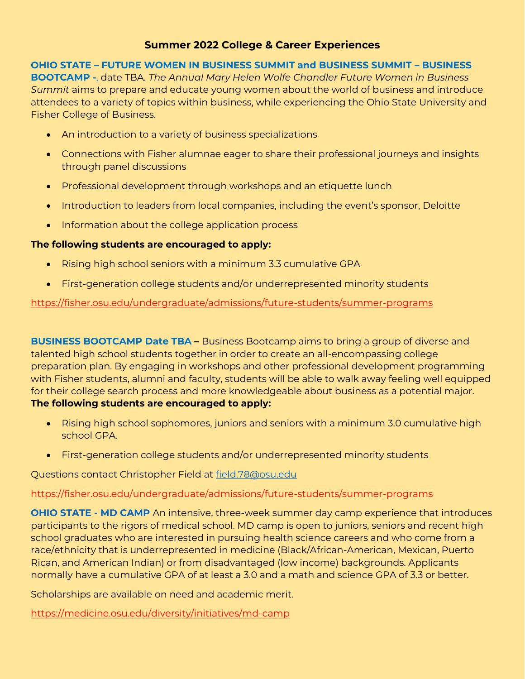# **OHIO STATE – FUTURE WOMEN IN BUSINESS SUMMIT and BUSINESS SUMMIT – BUSINESS**

**BOOTCAMP -**, date TBA. *The Annual Mary Helen Wolfe Chandler Future Women in Business Summit* aims to prepare and educate young women about the world of business and introduce attendees to a variety of topics within business, while experiencing the Ohio State University and Fisher College of Business.

- An introduction to a variety of business specializations
- Connections with Fisher alumnae eager to share their professional journeys and insights through panel discussions
- Professional development through workshops and an etiquette lunch
- Introduction to leaders from local companies, including the event's sponsor, Deloitte
- Information about the college application process

### **The following students are encouraged to apply:**

- Rising high school seniors with a minimum 3.3 cumulative GPA
- First-generation college students and/or underrepresented minority students

#### <https://fisher.osu.edu/undergraduate/admissions/future-students/summer-programs>

**BUSINESS BOOTCAMP Date TBA –** Business Bootcamp aims to bring a group of diverse and talented high school students together in order to create an all-encompassing college preparation plan. By engaging in workshops and other professional development programming with Fisher students, alumni and faculty, students will be able to walk away feeling well equipped for their college search process and more knowledgeable about business as a potential major. **The following students are encouraged to apply:**

- Rising high school sophomores, juniors and seniors with a minimum 3.0 cumulative high school GPA.
- First-generation college students and/or underrepresented minority students

Questions contact Christopher Field at [field.78@osu.edu](mailto:field.78@osu.edu)

# https://fisher.osu.edu/undergraduate/admissions/future-students/summer-programs

**[OHIO STATE -](https://medicine.osu.edu/students/diversity/programs/md_camp/Pages/index.aspx) MD CAMP** An intensive, three-week summer day camp experience that introduces participants to the rigors of medical school. MD camp is open to juniors, seniors and recent high school graduates who are interested in pursuing health science careers and who come from a race/ethnicity that is underrepresented in medicine (Black/African-American, Mexican, Puerto Rican, and American Indian) or from disadvantaged (low income) backgrounds. Applicants normally have a cumulative GPA of at least a 3.0 and a math and science GPA of 3.3 or better.

Scholarships are available on need and academic merit.

<https://medicine.osu.edu/diversity/initiatives/md-camp>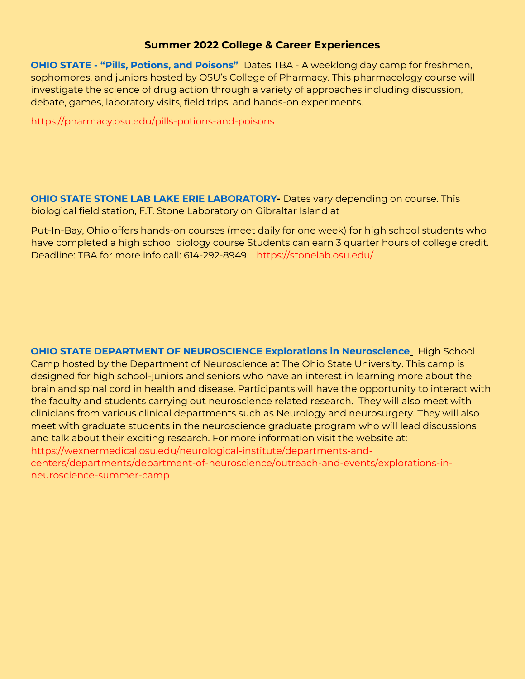**OHIO STATE - ["Pills, Potions, and Poisons"](http://pharmacy.osu.edu/outreach/pills-potions-and-poisons)** Dates TBA - A weeklong day camp for freshmen, sophomores, and juniors hosted by OSU's College of Pharmacy. This pharmacology course will investigate the science of drug action through a variety of approaches including discussion, debate, games, laboratory visits, field trips, and hands-on experiments.

<https://pharmacy.osu.edu/pills-potions-and-poisons>

**[OHIO STATE STONE LAB LAKE ERIE LABORATORY-](https://ohioseagrant.osu.edu/education/stonelab/courses/intro)** Dates vary depending on course. This biological field station, F.T. Stone Laboratory on Gibraltar Island at

Put-In-Bay, Ohio offers hands-on courses (meet daily for one week) for high school students who have completed a high school biology course Students can earn 3 quarter hours of college credit. Deadline: TBA for more info call: 614-292-8949 https://stonelab.osu.edu/

**[OHIO STATE DEPARTMENT OF NEUROSCIENCE Explorations in Neuroscience](https://wexnermedical.osu.edu/neurological-institute/departments-and-centers/departments/department-of-neuroscience/explorations-in-neuroscience-summer-camp)** High School Camp hosted by the Department of Neuroscience at The Ohio State University. This camp is designed for high school-juniors and seniors who have an interest in learning more about the brain and spinal cord in health and disease. Participants will have the opportunity to interact with the faculty and students carrying out neuroscience related research. They will also meet with clinicians from various clinical departments such as Neurology and neurosurgery. They will also meet with graduate students in the neuroscience graduate program who will lead discussions and talk about their exciting research. For more information visit the website at: https://wexnermedical.osu.edu/neurological-institute/departments-andcenters/departments/department-of-neuroscience/outreach-and-events/explorations-inneuroscience-summer-camp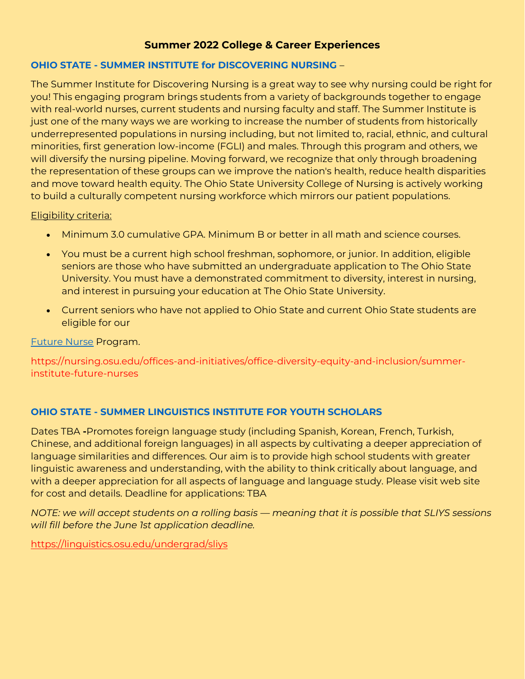### **OHIO STATE - [SUMMER INSTITUTE for DISCOVERING NURSING](https://nursing.osu.edu/about-the-college/diversity-general/summer-institute-for-diversity-in-nursing/)** –

The Summer Institute for Discovering Nursing is a great way to see why nursing could be right for you! This engaging program brings students from a variety of backgrounds together to engage with real-world nurses, current students and nursing faculty and staff. The Summer Institute is just one of the many ways we are working to increase the number of students from historically underrepresented populations in nursing including, but not limited to, racial, ethnic, and cultural minorities, first generation low-income (FGLI) and males. Through this program and others, we will diversify the nursing pipeline. Moving forward, we recognize that only through broadening the representation of these groups can we improve the nation's health, reduce health disparities and move toward health equity. The Ohio State University College of Nursing is actively working to build a culturally competent nursing workforce which mirrors our patient populations.

#### Eligibility criteria:

- Minimum 3.0 cumulative GPA. Minimum B or better in all math and science courses.
- You must be a current high school freshman, sophomore, or junior. In addition, eligible seniors are those who have submitted an undergraduate application to The Ohio State University. You must have a demonstrated commitment to diversity, interest in nursing, and interest in pursuing your education at The Ohio State University.
- Current seniors who have not applied to Ohio State and current Ohio State students are eligible for our

[Future Nurse](https://nursing.osu.edu/about-the-college/diversity-general/future-nurse.html) Program.

https://nursing.osu.edu/offices-and-initiatives/office-diversity-equity-and-inclusion/summerinstitute-future-nurses

# **OHIO STATE - SUMMER [LINGUISTICS INSTITUTE FOR YOUTH SCHOLARS](https://linguistics.osu.edu/SLIYS)**

Dates TBA **-**Promotes foreign language study (including Spanish, Korean, French, Turkish, Chinese, and additional foreign languages) in all aspects by cultivating a deeper appreciation of language similarities and differences. Our aim is to provide high school students with greater linguistic awareness and understanding, with the ability to think critically about language, and with a deeper appreciation for all aspects of language and language study. Please visit web site for cost and details. Deadline for applications: TBA

*NOTE: we will accept students on a rolling basis — meaning that it is possible that SLIYS sessions will fill before the June 1st application deadline.*

<https://linguistics.osu.edu/undergrad/sliys>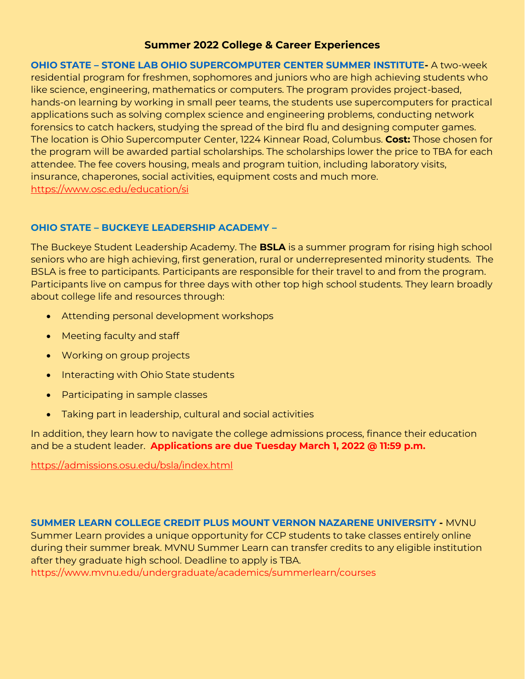**OHIO STATE – [STONE LAB OHIO SUPERCOMPUTER CENTER SUMMER INSTITUTE-](https://www.osc.edu/education/si)** A two-week residential program for freshmen, sophomores and juniors who are high achieving students who like science, engineering, mathematics or computers. The program provides project-based, hands-on learning by working in small peer teams, the students use supercomputers for practical applications such as solving complex science and engineering problems, conducting network forensics to catch hackers, studying the spread of the bird flu and designing computer games. The location is Ohio Supercomputer Center, 1224 Kinnear Road, Columbus. **Cost:** Those chosen for the program will be awarded partial scholarships. The scholarships lower the price to TBA for each attendee. The fee covers housing, meals and program tuition, including laboratory visits, insurance, chaperones, social activities, equipment costs and much more. <https://www.osc.edu/education/si>

# **OHIO STATE – BUCKEYE LEADERSHIP ACADEMY –**

The Buckeye Student Leadership Academy. The **BSLA** is a summer program for rising high school seniors who are high achieving, first generation, rural or underrepresented minority students. The BSLA is free to participants. Participants are responsible for their travel to and from the program. Participants live on campus for three days with other top high school students. They learn broadly about college life and resources through:

- Attending personal development workshops
- Meeting faculty and staff
- Working on group projects
- Interacting with Ohio State students
- Participating in sample classes
- Taking part in leadership, cultural and social activities

In addition, they learn how to navigate the college admissions process, finance their education and be a student leader. **Applications are due Tuesday March 1, 2022 @ 11:59 p.m.**

<https://admissions.osu.edu/bsla/index.html>

# **[SUMMER LEARN COLLEGE CREDIT PLUS MOUNT VERNON NAZARENE UNIVERSITY](http://gotomvnu.com/summer/) -** MVNU

Summer Learn provides a unique opportunity for CCP students to take classes entirely online during their summer break. MVNU Summer Learn can transfer credits to any eligible institution after they graduate high school. Deadline to apply is TBA.

https://www.mvnu.edu/undergraduate/academics/summerlearn/courses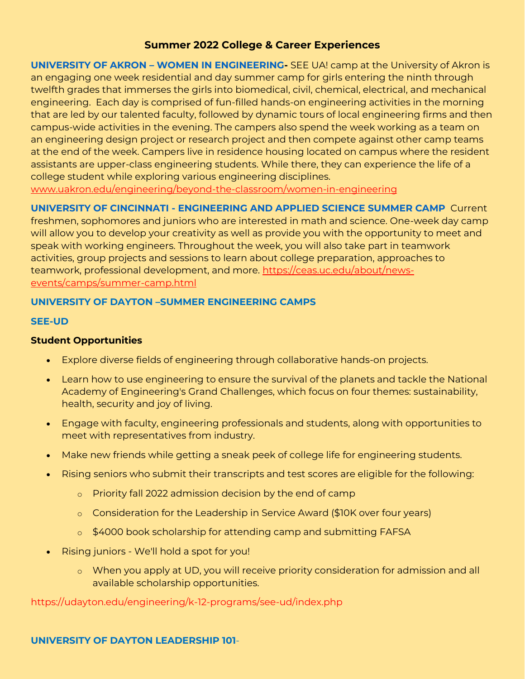**UNIVERSITY OF AKRON – [WOMEN IN ENGINEERING-](http://www.uakron.edu/engineering/beyond-the-classroom/women-in-engineering/outreach-camps.dot)** SEE UA! camp at the University of Akron is an engaging one week residential and day summer camp for girls entering the ninth through twelfth grades that immerses the girls into biomedical, civil, chemical, electrical, and mechanical engineering. Each day is comprised of fun-filled hands-on engineering activities in the morning that are led by our talented faculty, followed by dynamic tours of local engineering firms and then campus-wide activities in the evening. The campers also spend the week working as a team on an engineering design project or research project and then compete against other camp teams at the end of the week. Campers live in residence housing located on campus where the resident assistants are upper-class engineering students. While there, they can experience the life of a college student while exploring various engineering disciplines. www.uakron.edu/engineering/beyond-the-classroom/women-in-engineering

**UNIVERSITY OF CINCINNATI - [ENGINEERING AND APPLIED SCIENCE SUMMER CAMP](http://ceas.uc.edu/future_students/Activities/Summer_Camps.html)** Current

freshmen, sophomores and juniors who are interested in math and science. One-week day camp will allow you to develop your creativity as well as provide you with the opportunity to meet and speak with working engineers. Throughout the week, you will also take part in teamwork activities, group projects and sessions to learn about college preparation, approaches to teamwork, professional development, and more. [https://ceas.uc.edu/about/news](https://ceas.uc.edu/about/news-events/camps/summer-camp.html)[events/camps/summer-camp.html](https://ceas.uc.edu/about/news-events/camps/summer-camp.html)

# **UNIVERSITY OF DAYTON –SUMMER ENGINEERING CAMPS**

#### **SEE-UD**

### **Student Opportunities**

- Explore diverse fields of engineering through collaborative hands-on projects.
- Learn how to use engineering to ensure the survival of the planets and tackle the National Academy of Engineering's Grand Challenges, which focus on four themes: sustainability, health, security and joy of living.
- Engage with faculty, engineering professionals and students, along with opportunities to meet with representatives from industry.
- Make new friends while getting a sneak peek of college life for engineering students.
- Rising seniors who submit their transcripts and test scores are eligible for the following:
	- o Priority fall 2022 admission decision by the end of camp
	- o Consideration for the Leadership in Service Award (\$10K over four years)
	- o \$4000 book scholarship for attending camp and submitting FAFSA
- Rising juniors We'll hold a spot for you!
	- o When you apply at UD, you will receive priority consideration for admission and all available scholarship opportunities.

https://udayton.edu/engineering/k-12-programs/see-ud/index.php

# **UNIVERSITY OF DAYTON LEADERSHIP 101**-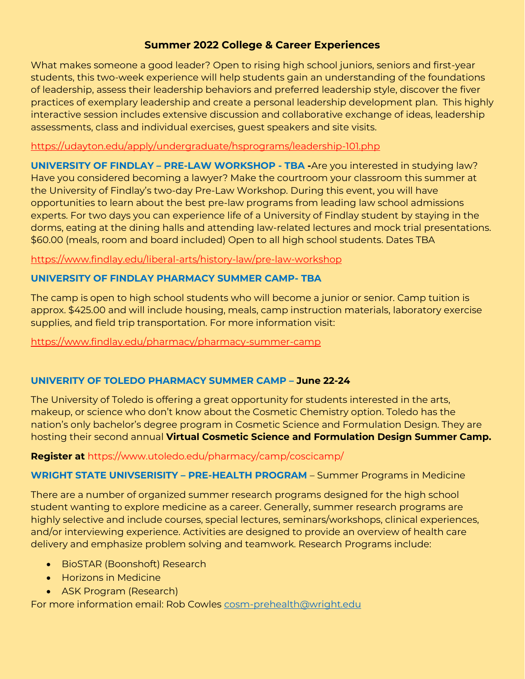What makes someone a good leader? Open to rising high school juniors, seniors and first-year students, this two-week experience will help students gain an understanding of the foundations of leadership, assess their leadership behaviors and preferred leadership style, discover the fiver practices of exemplary leadership and create a personal leadership development plan. This highly interactive session includes extensive discussion and collaborative exchange of ideas, leadership assessments, class and individual exercises, guest speakers and site visits.

### <https://udayton.edu/apply/undergraduate/hsprograms/leadership-101.php>

**UNIVERSITY OF FINDLAY – PRE-LAW WORKSHOP - TBA -**Are you interested in studying law? Have you considered becoming a lawyer? Make the courtroom your classroom this summer at the University of Findlay's two-day Pre-Law Workshop. During this event, you will have opportunities to learn about the best pre-law programs from leading law school admissions experts. For two days you can experience life of a University of Findlay student by staying in the dorms, eating at the dining halls and attending law-related lectures and mock trial presentations. \$60.00 (meals, room and board included) Open to all high school students. Dates TBA

### <https://www.findlay.edu/liberal-arts/history-law/pre-law-workshop>

# **UNIVERSITY OF FINDLAY PHARMACY SUMMER CAMP- TBA**

The camp is open to high school students who will become a junior or senior. Camp tuition is approx. \$425.00 and will include housing, meals, camp instruction materials, laboratory exercise supplies, and field trip transportation. For more information visit:

<https://www.findlay.edu/pharmacy/pharmacy-summer-camp>

# **UNIVERITY OF TOLEDO PHARMACY SUMMER CAMP – June 22-24**

The University of Toledo is offering a great opportunity for students interested in the arts, makeup, or science who don't know about the Cosmetic Chemistry option. Toledo has the nation's only bachelor's degree program in Cosmetic Science and Formulation Design. They are hosting their second annual **Virtual Cosmetic Science and Formulation Design Summer Camp.**

# **Register at** https://www.utoledo.edu/pharmacy/camp/coscicamp/

# **WRIGHT STATE UNIVSERISITY – PRE-HEALTH PROGRAM** – Summer Programs in Medicine

There are a number of organized summer research programs designed for the high school student wanting to explore medicine as a career. Generally, summer research programs are highly selective and include courses, special lectures, seminars/workshops, clinical experiences, and/or interviewing experience. Activities are designed to provide an overview of health care delivery and emphasize problem solving and teamwork. Research Programs include:

- BioSTAR (Boonshoft) Research
- Horizons in Medicine
- ASK Program (Research)

For more information email: Rob Cowles [cosm-prehealth@wright.edu](mailto:cosm-prehealth@wright.edu)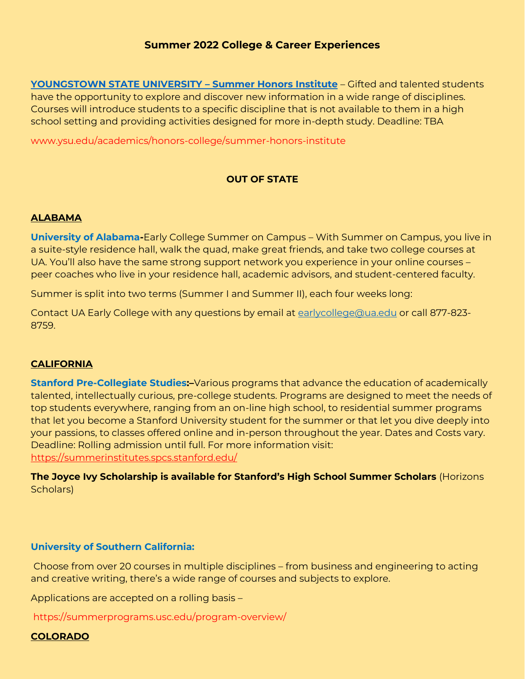**[YOUNGSTOWN STATE UNIVERSITY](http://www.ysu.edu/academics/honors-college/summer-honors-institute) – Summer Honors Institute** – Gifted and talented students have the opportunity to explore and discover new information in a wide range of disciplines. Courses will introduce students to a specific discipline that is not available to them in a high school setting and providing activities designed for more in-depth study. Deadline: TBA

www.ysu.edu/academics/honors-college/summer-honors-institute

# **OUT OF STATE**

#### **ALABAMA**

**University of Alabama-**Early College Summer on Campus – With Summer on Campus, you live in a suite-style residence hall, walk the quad, make great friends, and take two college courses at UA. You'll also have the same strong support network you experience in your online courses – peer coaches who live in your residence hall, academic advisors, and student-centered faculty.

Summer is split into two terms (Summer I and Summer II), each four weeks long:

Contact UA Early College with any questions by email at [earlycollege@ua.edu](mailto:earlycollege@ua.edu) or call 877-823- 8759.

#### **CALIFORNIA**

**Stanford Pre-Collegiate Studies:–**Various programs that advance the education of academically talented, intellectually curious, pre-college students. Programs are designed to meet the needs of top students everywhere, ranging from an on-line high school, to residential summer programs that let you become a Stanford University student for the summer or that let you dive deeply into your passions, to classes offered online and in-person throughout the year. Dates and Costs vary. Deadline: Rolling admission until full. For more information visit: <https://summerinstitutes.spcs.stanford.edu/>

**The Joyce Ivy Scholarship is available for Stanford's High School Summer Scholars** (Horizons Scholars)

#### **University of Southern California:**

Choose from over 20 courses in multiple disciplines – from business and engineering to acting and creative writing, there's a wide range of courses and subjects to explore.

Applications are accepted on a rolling basis –

https://summerprograms.usc.edu/program-overview/

#### **COLORADO**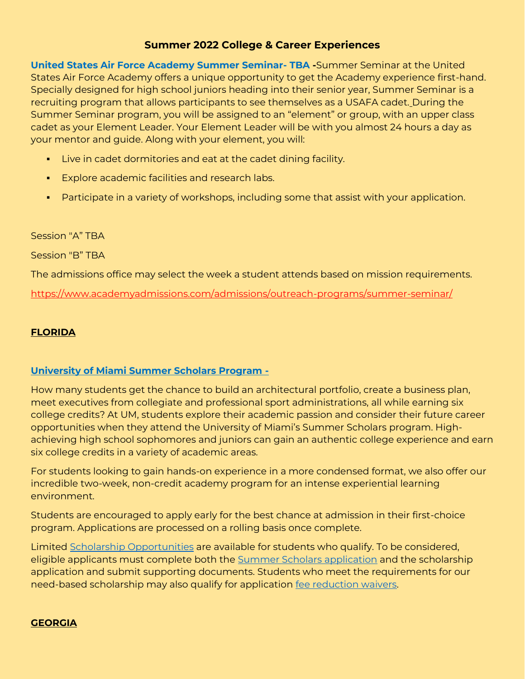**United States Air Force Academy Summer Seminar- TBA -**Summer Seminar at the United States Air Force Academy offers a unique opportunity to get the Academy experience first-hand. Specially designed for high school juniors heading into their senior year, Summer Seminar is a recruiting program that allows participants to see themselves as a USAFA cadet. During the Summer Seminar program, you will be assigned to an "element" or group, with an upper class cadet as your Element Leader. Your Element Leader will be with you almost 24 hours a day as your mentor and guide. Along with your element, you will:

- **EXECT:** Live in cadet dormitories and eat at the cadet dining facility.
- Explore academic facilities and research labs.
- Participate in a variety of workshops, including some that assist with your application.

#### Session "A" TBA

Session "B" TBA

The admissions office may select the week a student attends based on mission requirements.

<https://www.academyadmissions.com/admissions/outreach-programs/summer-seminar/>

# **FLORIDA**

#### **University of Miami Summer Scholars Program -**

How many students get the chance to build an architectural portfolio, create a business plan, meet executives from collegiate and professional sport administrations, all while earning six college credits? At UM, students explore their academic passion and consider their future career opportunities when they attend the University of Miami's Summer Scholars program. Highachieving high school sophomores and juniors can gain an authentic college experience and earn six college credits in a variety of academic areas.

For students looking to gain hands-on experience in a more condensed format, we also offer our incredible two-week, non-credit academy program for an intense experiential learning environment.

Students are encouraged to apply early for the best chance at admission in their first-choice program. Applications are processed on a rolling basis once complete.

Limited [Scholarship Opportunities](http://click.connect.miami.edu/?qs=3677339ffd6bfec40945ff45d7268f97989d0385e387b4c53d3afb56b3d8762cf6f1a1cdfc99946b15a27712590c6f7295c4ec25e5959ee972b0010050c9ab43) are available for students who qualify. To be considered, eligible applicants must complete both the [Summer Scholars application](http://click.connect.miami.edu/?qs=3677339ffd6bfec4d774ea6b33208c2ee2cd6b84f80b048327cf755d991f3614ec5bf8882314c6d457ceb137b09e992cbedde095e79104846ae09ffc3bbdfc26) and the scholarship application and submit supporting documents. Students who meet the requirements for our need-based scholarship may also qualify for application [fee reduction waivers.](http://click.connect.miami.edu/?qs=3677339ffd6bfec42238d4219d0c0910d1113993b988893f5f552ad77183ffaab6705db0cb218cd58ea801f3aa744234923fa74e0f6bcf4e40f24b8702dcd0ed)

#### **GEORGIA**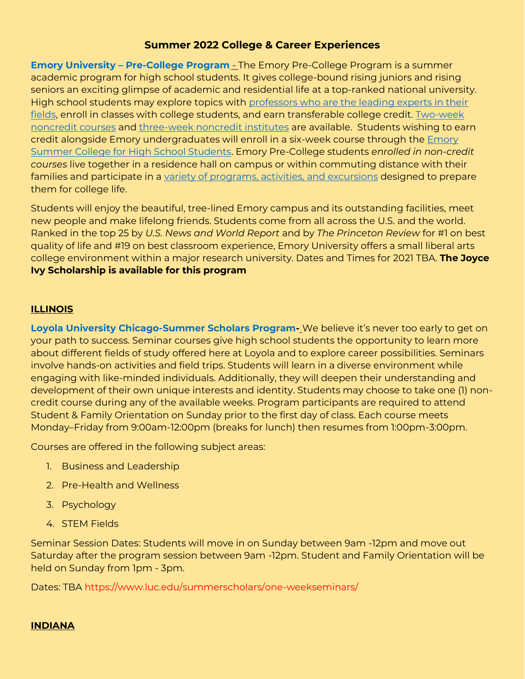**Emory University – Pre-College Program The Emory Pre-College Program is a summer** academic program for high school students. It gives college-bound rising juniors and rising seniors an exciting glimpse of academic and residential life at a top-ranked national university. High school students may explore topics with professors who are the leading experts in their [fields,](http://precollege.emory.edu/program/courses/faculty.html) enroll in classes with college students, and earn transferable college credit. [Two-week](http://precollege.emory.edu/program/courses/non-credit.html)  [noncredit courses](http://precollege.emory.edu/program/courses/non-credit.html) and [three-week noncredit institutes](http://precollege.emory.edu/program/courses/institute.html) are available. Students wishing to earn credit alongside Emory undergraduates will enroll in a six-week course through the [Emory](http://precollege.emory.edu/summer-college/index.html)  [Summer College for High School Students.](http://precollege.emory.edu/summer-college/index.html) Emory Pre-College students *enrolled in non-credit courses* live together in a residence hall on campus or within commuting distance with their families and participate in a [variety of programs, activities, and excursions](http://precollege.emory.edu/program/schedule.html) designed to prepare them for college life.

Students will enjoy the beautiful, tree-lined Emory campus and its outstanding facilities, meet new people and make lifelong friends. Students come from all across the U.S. and the world. Ranked in the top 25 by *U.S. News and World Report* and by *The Princeton Review* for #1 on best quality of life and #19 on best classroom experience, Emory University offers a small liberal arts college environment within a major research university. Dates and Times for 2021 TBA. **The Joyce Ivy Scholarship is available for this program**

### **ILLINOIS**

**Loyola University Chicago-Summer Scholars Program-** We believe it's never too early to get on your path to success. Seminar courses give high school students the opportunity to learn more about different fields of study offered here at Loyola and to explore career possibilities. Seminars involve hands-on activities and field trips. Students will learn in a diverse environment while engaging with like-minded individuals. Additionally, they will deepen their understanding and development of their own unique interests and identity. Students may choose to take one (1) noncredit course during any of the available weeks. Program participants are required to attend Student & Family Orientation on Sunday prior to the first day of class. Each course meets Monday–Friday from 9:00am-12:00pm (breaks for lunch) then resumes from 1:00pm-3:00pm.

Courses are offered in the following subject areas:

- 1. Business and Leadership
- 2. Pre-Health and Wellness
- 3. Psychology
- 4. STEM Fields

Seminar Session Dates: Students will move in on Sunday between 9am -12pm and move out Saturday after the program session between 9am -12pm. Student and Family Orientation will be held on Sunday from 1pm - 3pm.

Dates: TBA https://www.luc.edu/summerscholars/one-weekseminars/

# **INDIANA**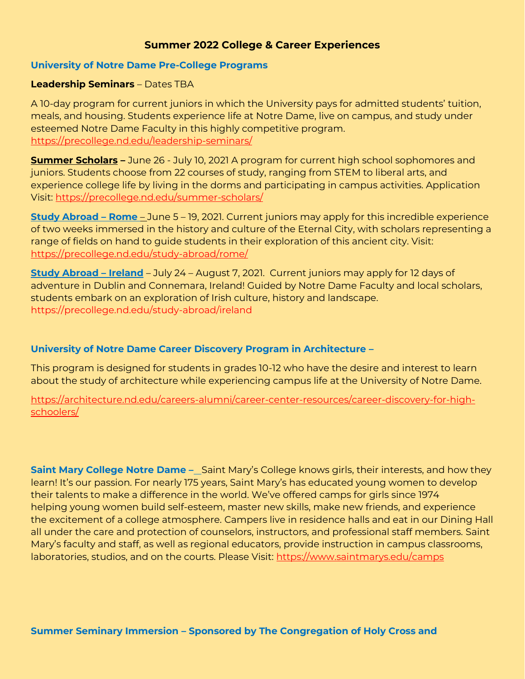#### **University of Notre Dame Pre-College Programs**

### **Leadership Seminars** – Dates TBA

A 10-day program for current juniors in which the University pays for admitted students' tuition, meals, and housing. Students experience life at Notre Dame, live on campus, and study under esteemed Notre Dame Faculty in this highly competitive program. <https://precollege.nd.edu/leadership-seminars/>

**Summer Scholars –** June 26 - July 10, 2021 A program for current high school sophomores and juniors. Students choose from 22 courses of study, ranging from STEM to liberal arts, and experience college life by living in the dorms and participating in campus activities. Application Visit:<https://precollege.nd.edu/summer-scholars/>

**Study Abroad – Rome** – June 5 – 19, 2021. Current juniors may apply for this incredible experience of two weeks immersed in the history and culture of the Eternal City, with scholars representing a range of fields on hand to guide students in their exploration of this ancient city. Visit: <https://precollege.nd.edu/study-abroad/rome/>

**Study Abroad – Ireland** – July 24 – August 7, 2021. Current juniors may apply for 12 days of adventure in Dublin and Connemara, Ireland! Guided by Notre Dame Faculty and local scholars, students embark on an exploration of Irish culture, history and landscape. https://precollege.nd.edu/study-abroad/ireland

# **University of Notre Dame Career Discovery Program in Architecture –**

This program is designed for students in grades 10-12 who have the desire and interest to learn about the study of architecture while experiencing campus life at the University of Notre Dame.

[https://architecture.nd.edu/careers-alumni/career-center-resources/career-discovery-for-high](https://architecture.nd.edu/careers-alumni/career-center-resources/career-discovery-for-high-schoolers/)[schoolers/](https://architecture.nd.edu/careers-alumni/career-center-resources/career-discovery-for-high-schoolers/)

**Saint Mary College Notre Dame –** Saint Mary's College knows girls, their interests, and how they learn! It's our passion. For nearly 175 years, Saint Mary's has educated young women to develop their talents to make a difference in the world. We've offered camps for girls since 1974 helping young women build self-esteem, master new skills, make new friends, and experience the excitement of a college atmosphere. Campers live in residence halls and eat in our Dining Hall all under the care and protection of counselors, instructors, and professional staff members. Saint Mary's faculty and staff, as well as regional educators, provide instruction in campus classrooms, laboratories, studios, and on the courts. Please Visit:<https://www.saintmarys.edu/camps>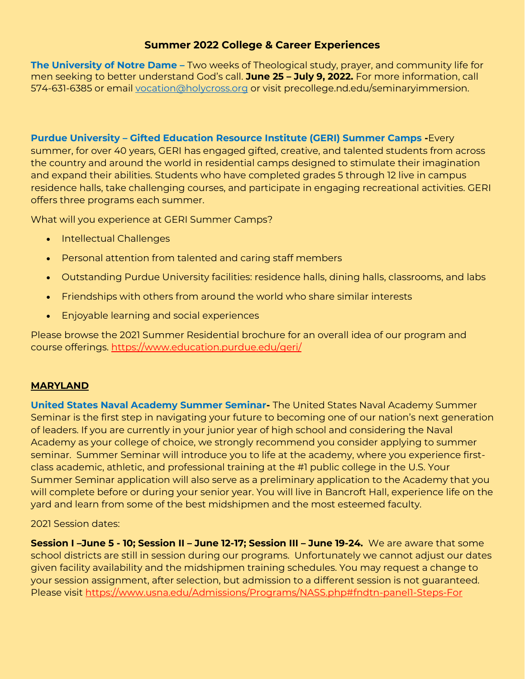**The University of Notre Dame –** Two weeks of Theological study, prayer, and community life for men seeking to better understand God's call. **June 25 – July 9, 2022.** For more information, call 574-631-6385 or email [vocation@holycross.org](mailto:vocation@holycross.org) or visit precollege.nd.edu/seminaryimmersion.

**Purdue University – Gifted Education Resource Institute (GERI) Summer Camps -**Every summer, for over 40 years, GERI has engaged gifted, creative, and talented students from across the country and around the world in residential camps designed to stimulate their imagination and expand their abilities. Students who have completed grades 5 through 12 live in campus residence halls, take challenging courses, and participate in engaging recreational activities. GERI offers three programs each summer.

What will you experience at GERI Summer Camps?

- Intellectual Challenges
- Personal attention from talented and caring staff members
- Outstanding Purdue University facilities: residence halls, dining halls, classrooms, and labs
- Friendships with others from around the world who share similar interests
- Enjoyable learning and social experiences

Please browse the 2021 Summer Residential brochure for an overall idea of our program and course offerings. <https://www.education.purdue.edu/geri/>

# **MARYLAND**

**United States Naval Academy Summer Seminar-** The United States Naval Academy Summer Seminar is the first step in navigating your future to becoming one of our nation's next generation of leaders. If you are currently in your junior year of high school and considering the Naval Academy as your college of choice, we strongly recommend you consider applying to summer seminar. Summer Seminar will introduce you to life at the academy, where you experience firstclass academic, athletic, and professional training at the #1 public college in the U.S. Your Summer Seminar application will also serve as a preliminary application to the Academy that you will complete before or during your senior year. You will live in Bancroft Hall, experience life on the yard and learn from some of the best midshipmen and the most esteemed faculty.

# 2021 Session dates:

**Session I –June 5 - 10; Session II – June 12-17; Session III – June 19-24.** We are aware that some school districts are still in session during our programs. Unfortunately we cannot adjust our dates given facility availability and the midshipmen training schedules. You may request a change to your session assignment, after selection, but admission to a different session is not guaranteed. Please visit<https://www.usna.edu/Admissions/Programs/NASS.php#fndtn-panel1-Steps-For>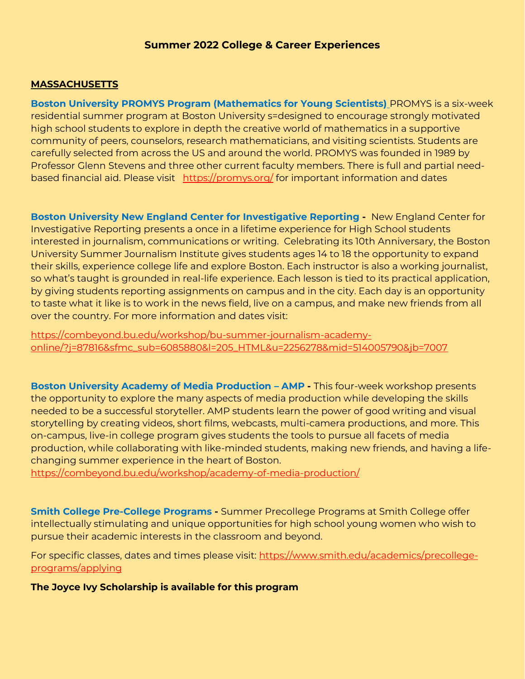#### **MASSACHUSETTS**

**Boston University PROMYS Program (Mathematics for Young Scientists)** PROMYS is a six-week residential summer program at Boston University s=designed to encourage strongly motivated high school students to explore in depth the creative world of mathematics in a supportive community of peers, counselors, research mathematicians, and visiting scientists. Students are carefully selected from across the US and around the world. PROMYS was founded in 1989 by Professor Glenn Stevens and three other current faculty members. There is full and partial needbased financial aid. Please visit <https://promys.org/> for important information and dates

**Boston University New England Center for Investigative Reporting -** New England Center for Investigative Reporting presents a once in a lifetime experience for High School students interested in journalism, communications or writing. Celebrating its 10th Anniversary, the Boston University Summer Journalism Institute gives students ages 14 to 18 the opportunity to expand their skills, experience college life and explore Boston. Each instructor is also a working journalist, so what's taught is grounded in real-life experience. Each lesson is tied to its practical application, by giving students reporting assignments on campus and in the city. Each day is an opportunity to taste what it like is to work in the news field, live on a campus, and make new friends from all over the country. For more information and dates visit:

[https://combeyond.bu.edu/workshop/bu-summer-journalism-academy](https://combeyond.bu.edu/workshop/bu-summer-journalism-academy-online/?j=87816&sfmc_sub=6085880&l=205_HTML&u=2256278&mid=514005790&jb=7007)[online/?j=87816&sfmc\\_sub=6085880&l=205\\_HTML&u=2256278&mid=514005790&jb=7007](https://combeyond.bu.edu/workshop/bu-summer-journalism-academy-online/?j=87816&sfmc_sub=6085880&l=205_HTML&u=2256278&mid=514005790&jb=7007)

**Boston University Academy of Media Production – AMP -** This four-week workshop presents the opportunity to explore the many aspects of media production while developing the skills needed to be a successful storyteller. AMP students learn the power of good writing and visual storytelling by creating videos, short films, webcasts, multi-camera productions, and more. This on-campus, live-in college program gives students the tools to pursue all facets of media production, while collaborating with like-minded students, making new friends, and having a lifechanging summer experience in the heart of Boston.

<https://combeyond.bu.edu/workshop/academy-of-media-production/>

**Smith College Pre-College Programs -** Summer Precollege Programs at Smith College offer intellectually stimulating and unique opportunities for high school young women who wish to pursue their academic interests in the classroom and beyond.

For specific classes, dates and times please visit: [https://www.smith.edu/academics/precollege](https://www.smith.edu/academics/precollege-programs/applying)[programs/applying](https://www.smith.edu/academics/precollege-programs/applying)

**The Joyce Ivy Scholarship is available for this program**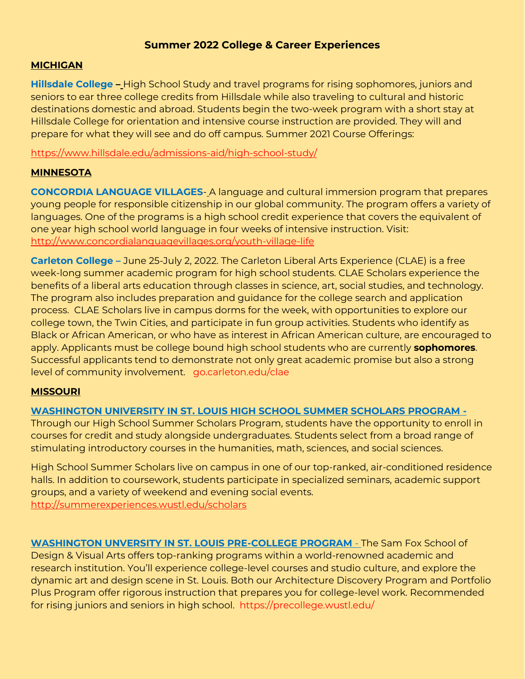### **MICHIGAN**

**Hillsdale College –** High School Study and travel programs for rising sophomores, juniors and seniors to ear three college credits from Hillsdale while also traveling to cultural and historic destinations domestic and abroad. Students begin the two-week program with a short stay at Hillsdale College for orientation and intensive course instruction are provided. They will and prepare for what they will see and do off campus. Summer 2021 Course Offerings:

<https://www.hillsdale.edu/admissions-aid/high-school-study/>

# **MINNESOTA**

**CONCORDIA LANGUAGE VILLAGES**- A language and cultural immersion program that prepares young people for responsible citizenship in our global community. The program offers a variety of languages. One of the programs is a high school credit experience that covers the equivalent of one year high school world language in four weeks of intensive instruction. Visit: <http://www.concordialanguagevillages.org/youth-village-life>

**Carleton College –** June 25-July 2, 2022. The Carleton Liberal Arts Experience (CLAE) is a free week-long summer academic program for high school students. CLAE Scholars experience the benefits of a liberal arts education through classes in science, art, social studies, and technology. The program also includes preparation and guidance for the college search and application process. CLAE Scholars live in campus dorms for the week, with opportunities to explore our college town, the Twin Cities, and participate in fun group activities. Students who identify as Black or African American, or who have as interest in African American culture, are encouraged to apply. Applicants must be college bound high school students who are currently **sophomores**. Successful applicants tend to demonstrate not only great academic promise but also a strong level of community involvement. go.carleton.edu/clae

# **MISSOURI**

# **WASHINGTON UNIVERSITY IN ST. LOUIS HIGH SCHOOL SUMMER SCHOLARS PROGRAM -**

Through our High School Summer Scholars Program, students have the opportunity to enroll in courses for credit and study alongside undergraduates. Students select from a broad range of stimulating introductory courses in the humanities, math, sciences, and social sciences.

High School Summer Scholars live on campus in one of our top-ranked, air-conditioned residence halls. In addition to coursework, students participate in specialized seminars, academic support groups, and a variety of weekend and evening social events. <http://summerexperiences.wustl.edu/scholars>

**WASHINGTON UNVERSITY IN ST. LOUIS PRE-COLLEGE PROGRAM** - The Sam Fox School of Design & Visual Arts offers top-ranking programs within a world-renowned academic and research institution. You'll experience college-level courses and studio culture, and explore the dynamic art and design scene in St. Louis. Both our Architecture Discovery Program and Portfolio Plus Program offer rigorous instruction that prepares you for college-level work. Recommended for rising juniors and seniors in high school. https://precollege.wustl.edu/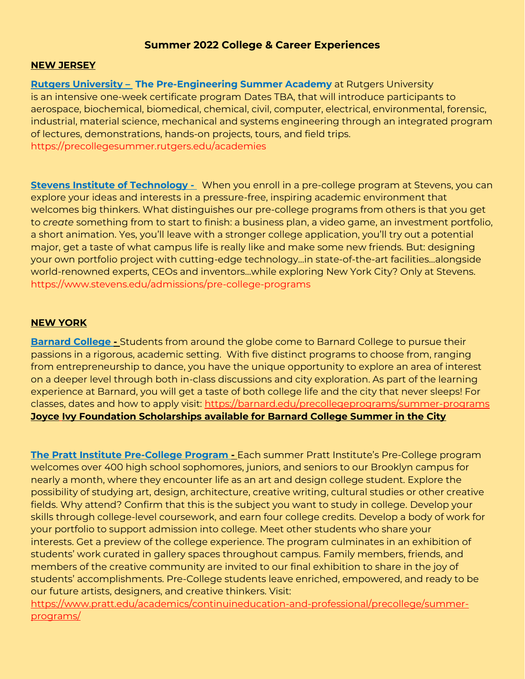#### **NEW JERSEY**

**Rutgers University - The Pre-Engineering Summer Academy** at Rutgers University is an intensive one-week certificate program Dates TBA, that will introduce participants to aerospace, biochemical, biomedical, chemical, civil, computer, electrical, environmental, forensic, industrial, material science, mechanical and systems engineering through an integrated program of lectures, demonstrations, hands-on projects, tours, and field trips. https://precollegesummer.rutgers.edu/academies

**Stevens Institute of Technology -** When you enroll in a pre-college program at Stevens, you can explore your ideas and interests in a pressure-free, inspiring academic environment that welcomes big thinkers. What distinguishes our pre-college programs from others is that you get to *create* something from to start to finish: a business plan, a video game, an investment portfolio, a short animation. Yes, you'll leave with a stronger college application, you'll try out a potential major, get a taste of what campus life is really like and make some new friends. But: designing your own portfolio project with cutting-edge technology…in state-of-the-art facilities…alongside world-renowned experts, CEOs and inventors…while exploring New York City? Only at Stevens. https://www.stevens.edu/admissions/pre-college-programs

#### **NEW YORK**

**Barnard College -** Students from around the globe come to Barnard College to pursue their passions in a rigorous, academic setting. With five distinct programs to choose from, ranging from entrepreneurship to dance, you have the unique opportunity to explore an area of interest on a deeper level through both in-class discussions and city exploration. As part of the learning experience at Barnard, you will get a taste of both college life and the city that never sleeps! For classes, dates and how to apply visit:<https://barnard.edu/precollegeprograms/summer-programs> **Joyce Ivy Foundation Scholarships available for Barnard College Summer in the City**

**The Pratt Institute Pre-College Program -** Each summer Pratt Institute's Pre-College program welcomes over 400 high school sophomores, juniors, and seniors to our Brooklyn campus for nearly a month, where they encounter life as an art and design college student. Explore the possibility of studying art, design, architecture, creative writing, cultural studies or other creative fields. Why attend? Confirm that this is the subject you want to study in college. Develop your skills through college-level coursework, and earn four college credits. Develop a body of work for your portfolio to support admission into college. Meet other students who share your interests. Get a preview of the college experience. The program culminates in an exhibition of students' work curated in gallery spaces throughout campus. Family members, friends, and members of the creative community are invited to our final exhibition to share in the joy of students' accomplishments. Pre-College students leave enriched, empowered, and ready to be our future artists, designers, and creative thinkers. Visit:

[https://www.pratt.edu/academics/continuineducation-and-professional/precollege/summer](https://www.pratt.edu/academics/continuineducation-and-professional/precollege/summer-programs/)[programs/](https://www.pratt.edu/academics/continuineducation-and-professional/precollege/summer-programs/)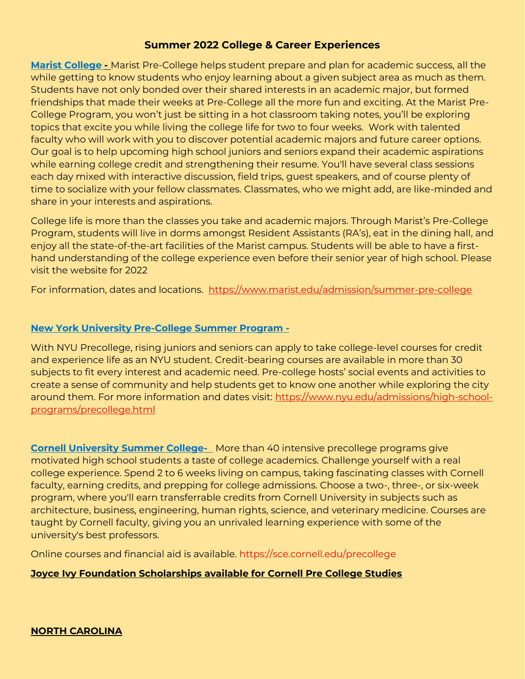**Marist College -** Marist Pre-College helps student prepare and plan for academic success, all the while getting to know students who enjoy learning about a given subject area as much as them. Students have not only bonded over their shared interests in an academic major, but formed friendships that made their weeks at Pre-College all the more fun and exciting. At the Marist Pre-College Program, you won't just be sitting in a hot classroom taking notes, you'll be exploring topics that excite you while living the college life for two to four weeks. Work with talented faculty who will work with you to discover potential academic majors and future career options. Our goal is to help upcoming high school juniors and seniors expand their academic aspirations while earning college credit and strengthening their resume. You'll have several class sessions each day mixed with interactive discussion, field trips, guest speakers, and of course plenty of time to socialize with your fellow classmates. Classmates, who we might add, are like-minded and share in your interests and aspirations.

College life is more than the classes you take and academic majors. Through Marist's Pre-College Program, students will live in dorms amongst Resident Assistants (RA's), eat in the dining hall, and enjoy all the state-of-the-art facilities of the Marist campus. Students will be able to have a firsthand understanding of the college experience even before their senior year of high school. Please visit the website for 2022

For information, dates and locations. <https://www.marist.edu/admission/summer-pre-college>

# **New York University Pre-College Summer Program -**

With NYU Precollege, rising juniors and seniors can apply to take college-level courses for credit and experience life as an NYU student. Credit-bearing courses are available in more than 30 subjects to fit every interest and academic need. Pre-college hosts' social events and activities to create a sense of community and help students get to know one another while exploring the city around them. For more information and dates visit: [https://www.nyu.edu/admissions/high-school](https://www.nyu.edu/admissions/high-school-programs/precollege.html)[programs/precollege.html](https://www.nyu.edu/admissions/high-school-programs/precollege.html)

**Cornell University Summer College-** More than 40 intensive precollege programs give motivated high school students a taste of college academics. Challenge yourself with a real college experience. Spend 2 to 6 weeks living on campus, taking fascinating classes with Cornell faculty, earning credits, and prepping for college admissions. Choose a two-, three-, or six-week program, where you'll earn transferrable credits from Cornell University in subjects such as architecture, business, engineering, human rights, science, and veterinary medicine. Courses are taught by Cornell faculty, giving you an unrivaled learning experience with some of the university's best professors.

Online courses and financial aid is available. https://sce.cornell.edu/precollege

# **Joyce Ivy Foundation Scholarships available for Cornell Pre College Studies**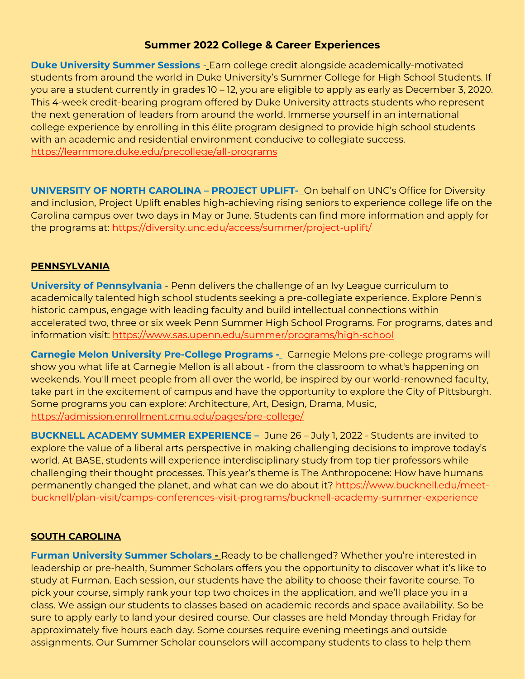**Duke University Summer Sessions** - Earn college credit alongside academically-motivated students from around the world in Duke University's Summer College for High School Students. If you are a student currently in grades 10 – 12, you are eligible to apply as early as December 3, 2020. This 4-week credit-bearing program offered by Duke University attracts students who represent the next generation of leaders from around the world. Immerse yourself in an international college experience by enrolling in this élite program designed to provide high school students with an academic and residential environment conducive to collegiate success. https://learnmore.duke.edu/precollege/all-programs

**UNIVERSITY OF NORTH CAROLINA – PROJECT UPLIFT-** On behalf on UNC's Office for Diversity and inclusion, Project Uplift enables high-achieving rising seniors to experience college life on the Carolina campus over two days in May or June. Students can find more information and apply for the programs at:<https://diversity.unc.edu/access/summer/project-uplift/>

# **PENNSYLVANIA**

**University of Pennsylvania** - Penn delivers the challenge of an Ivy League curriculum to academically talented high school students seeking a pre-collegiate experience. Explore Penn's historic campus, engage with leading faculty and build intellectual connections within accelerated two, three or six week Penn Summer High School Programs. For programs, dates and information visit:<https://www.sas.upenn.edu/summer/programs/high-school>

**Carnegie Melon University Pre-College Programs -** Carnegie Melons pre-college programs will show you what life at Carnegie Mellon is all about - from the classroom to what's happening on weekends. You'll meet people from all over the world, be inspired by our world-renowned faculty, take part in the excitement of campus and have the opportunity to explore the City of Pittsburgh. Some programs you can explore: Architecture, Art, Design, Drama, Music, <https://admission.enrollment.cmu.edu/pages/pre-college/>

**BUCKNELL ACADEMY SUMMER EXPERIENCE –** June 26 – July 1, 2022 - Students are invited to explore the value of a liberal arts perspective in making challenging decisions to improve today's world. At BASE, students will experience interdisciplinary study from top tier professors while challenging their thought processes. This year's theme is The Anthropocene: How have humans permanently changed the planet, and what can we do about it? https://www.bucknell.edu/meetbucknell/plan-visit/camps-conferences-visit-programs/bucknell-academy-summer-experience

# **SOUTH CAROLINA**

**Furman University Summer Scholars ...** Ready to be challenged? Whether you're interested in leadership or pre-health, Summer Scholars offers you the opportunity to discover what it's like to study at Furman. Each session, our students have the ability to choose their favorite course. To pick your course, simply rank your top two choices in the application, and we'll place you in a class. We assign our students to classes based on academic records and space availability. So be sure to apply early to land your desired course. Our classes are held Monday through Friday for approximately five hours each day. Some courses require evening meetings and outside assignments. Our Summer Scholar counselors will accompany students to class to help them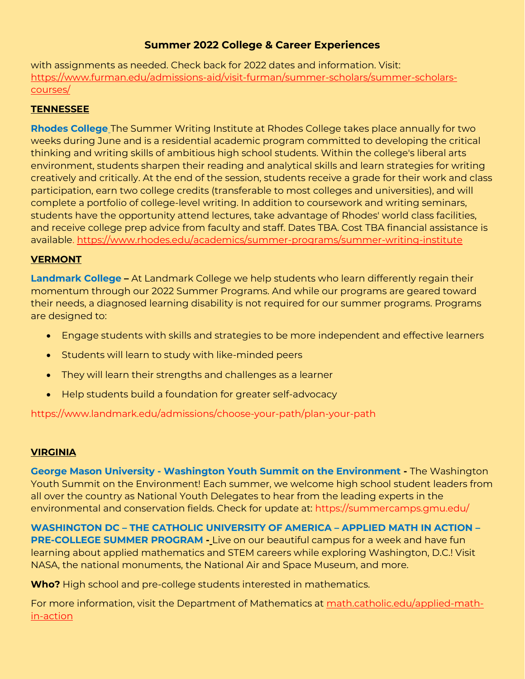with assignments as needed. Check back for 2022 dates and information. Visit: [https://www.furman.edu/admissions-aid/visit-furman/summer-scholars/summer-scholars](https://www.furman.edu/admissions-aid/visit-furman/summer-scholars/summer-scholars-courses/)[courses/](https://www.furman.edu/admissions-aid/visit-furman/summer-scholars/summer-scholars-courses/)

# **TENNESSEE**

**Rhodes College** The Summer Writing Institute at Rhodes College takes place annually for two weeks during June and is a residential academic program committed to developing the critical thinking and writing skills of ambitious high school students. Within the college′s liberal arts environment, students sharpen their reading and analytical skills and learn strategies for writing creatively and critically. At the end of the session, students receive a grade for their work and class participation, earn two college credits (transferable to most colleges and universities), and will complete a portfolio of college-level writing. In addition to coursework and writing seminars, students have the opportunity attend lectures, take advantage of Rhodes' world class facilities, and receive college prep advice from faculty and staff. Dates TBA. Cost TBA financial assistance is available.<https://www.rhodes.edu/academics/summer-programs/summer-writing-institute>

# **VERMONT**

**Landmark College –** At Landmark College we help students who learn differently regain their momentum through our 2022 Summer Programs. And while our programs are geared toward their needs, a diagnosed learning disability is not required for our summer programs. Programs are designed to:

- Engage students with skills and strategies to be more independent and effective learners
- Students will learn to study with like-minded peers
- They will learn their strengths and challenges as a learner
- Help students build a foundation for greater self-advocacy

https://www.landmark.edu/admissions/choose-your-path/plan-your-path

# **VIRGINIA**

**George Mason University - Washington Youth Summit on the Environment -** The Washington Youth Summit on the Environment! Each summer, we welcome high school student leaders from all over the country as National Youth Delegates to hear from the leading experts in the environmental and conservation fields. Check for update at: https://summercamps.gmu.edu/

**WASHINGTON DC – THE CATHOLIC UNIVERSITY OF AMERICA – APPLIED MATH IN ACTION – PRE-COLLEGE SUMMER PROGRAM -** Live on our beautiful campus for a week and have fun learning about applied mathematics and STEM careers while exploring Washington, D.C.! Visit NASA, the national monuments, the National Air and Space Museum, and more.

**Who?** High school and pre-college students interested in mathematics.

For more information, visit the Department of Mathematics at [math.catholic.edu/applied-math](http://math.cua.edu/applied-math-in-action)[in-action](http://math.cua.edu/applied-math-in-action)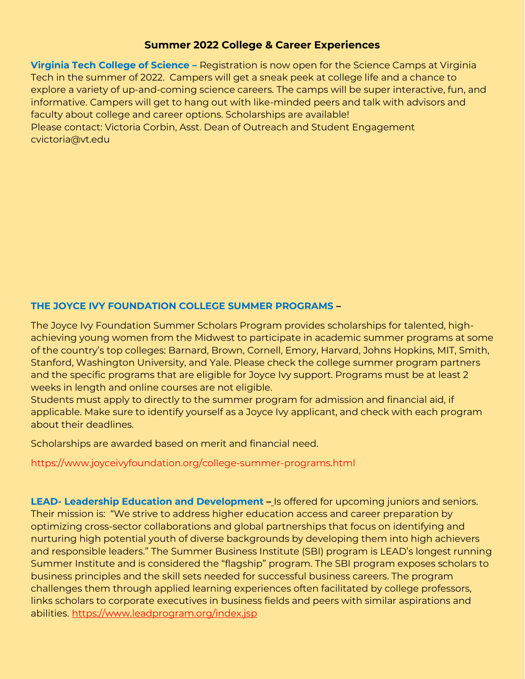**Virginia Tech College of Science –** Registration is now open for the Science Camps at Virginia Tech in the summer of 2022. Campers will get a sneak peek at college life and a chance to explore a variety of up-and-coming science careers. The camps will be super interactive, fun, and informative. Campers will get to hang out with like-minded peers and talk with advisors and faculty about college and career options. Scholarships are available! Please contact: Victoria Corbin, Asst. Dean of Outreach and Student Engagement cvictoria@vt.edu

# **THE JOYCE IVY FOUNDATION COLLEGE SUMMER PROGRAMS –**

The Joyce Ivy Foundation Summer Scholars Program provides scholarships for talented, highachieving young women from the Midwest to participate in academic summer programs at some of the country's top colleges: Barnard, Brown, Cornell, Emory, Harvard, Johns Hopkins, MIT, Smith, Stanford, Washington University, and Yale. Please check the college summer program partners and the specific programs that are eligible for Joyce Ivy support. Programs must be at least 2 weeks in length and online courses are not eligible.

Students must apply to directly to the summer program for admission and financial aid, if applicable. Make sure to identify yourself as a Joyce Ivy applicant, and check with each program about their deadlines.

Scholarships are awarded based on merit and financial need.

https://www.joyceivyfoundation.org/college-summer-programs.html

**LEAD- Leadership Education and Development –** Is offered for upcoming juniors and seniors. Their mission is: "We strive to address higher education access and career preparation by optimizing cross-sector collaborations and global partnerships that focus on identifying and nurturing high potential youth of diverse backgrounds by developing them into high achievers and responsible leaders." The Summer Business Institute (SBI) program is LEAD's longest running Summer Institute and is considered the "flagship" program. The SBI program exposes scholars to business principles and the skill sets needed for successful business careers. The program challenges them through applied learning experiences often facilitated by college professors, links scholars to corporate executives in business fields and peers with similar aspirations and abilities. <https://www.leadprogram.org/index.jsp>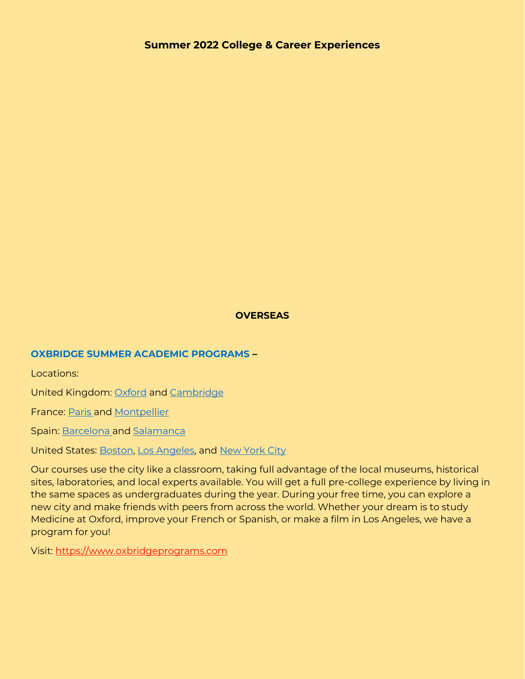# **OVERSEAS**

### **OXBRIDGE SUMMER ACADEMIC PROGRAMS –**

Locations:

United Kingdom: [Oxford](https://www.oxbridgeprograms.com/Oxbridge-Home/Oxford-Programs) and [Cambridge](https://www.oxbridgeprograms.com/Oxbridge-Home/Cambridge-Programs)

France: [Paris](https://www.oxbridgeprograms.com/Programs/LAcad%C3%A9mie-de-Paris) and [Montpellier](https://www.oxbridgeprograms.com/Programs/LAcad%C3%A9mie-de-France)

Spain: [Barcelona](https://www.oxbridgeprograms.com/Programs/La-Academia-de-Barcelona) and [Salamanca](https://www.oxbridgeprograms.com/Programs/La-Academia-de-Espa%C3%B1a)

United States: [Boston,](https://www.oxbridgeprograms.com/Programs/The-College-Experience-in-Boston) [Los Angeles,](https://www.oxbridgeprograms.com/Oxbridge-Home/Los-Angeles-Programs) and [New York City](https://www.oxbridgeprograms.com/Oxbridge-Home/New-York-Programs)

Our courses use the city like a classroom, taking full advantage of the local museums, historical sites, laboratories, and local experts available. You will get a full pre-college experience by living in the same spaces as undergraduates during the year. During your free time, you can explore a new city and make friends with peers from across the world. Whether your dream is to study Medicine at Oxford, improve your French or Spanish, or make a film in Los Angeles, we have a program for you!

Visit: [https://www.oxbridgeprograms.com](https://www.oxbridgeprograms.com/)